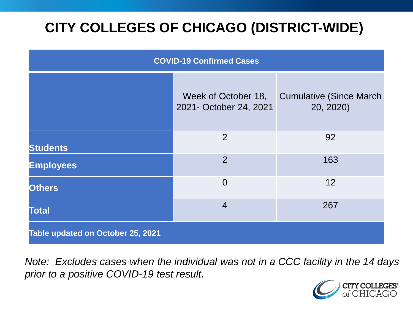# **CITY COLLEGES OF CHICAGO (DISTRICT-WIDE)**

| <b>COVID-19 Confirmed Cases</b>   |                                               |                                              |
|-----------------------------------|-----------------------------------------------|----------------------------------------------|
|                                   | Week of October 18,<br>2021- October 24, 2021 | <b>Cumulative (Since March)</b><br>20, 2020) |
| <b>Students</b>                   | 2                                             | 92                                           |
| <b>Employees</b>                  | 2                                             | 163                                          |
| <b>Others</b>                     | $\overline{0}$                                | 12                                           |
| <b>Total</b>                      | $\overline{4}$                                | 267                                          |
| Table updated on October 25, 2021 |                                               |                                              |

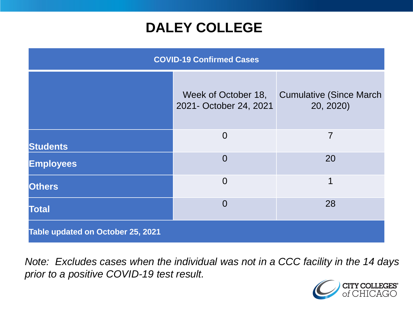### **DALEY COLLEGE**

| <b>COVID-19 Confirmed Cases</b>   |                                               |                                              |
|-----------------------------------|-----------------------------------------------|----------------------------------------------|
|                                   | Week of October 18,<br>2021- October 24, 2021 | <b>Cumulative (Since March)</b><br>20, 2020) |
| <b>Students</b>                   | $\overline{0}$                                | $\overline{7}$                               |
| <b>Employees</b>                  | $\overline{0}$                                | 20                                           |
| <b>Others</b>                     | $\overline{0}$                                | 1                                            |
| <b>Total</b>                      | $\overline{0}$                                | 28                                           |
| Table updated on October 25, 2021 |                                               |                                              |

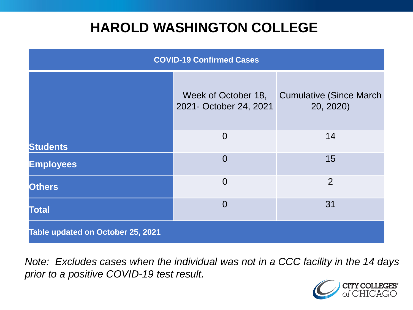### **HAROLD WASHINGTON COLLEGE**

| <b>COVID-19 Confirmed Cases</b>   |                                               |                                              |
|-----------------------------------|-----------------------------------------------|----------------------------------------------|
|                                   | Week of October 18,<br>2021- October 24, 2021 | <b>Cumulative (Since March)</b><br>20, 2020) |
| <b>Students</b>                   | $\overline{0}$                                | 14                                           |
| <b>Employees</b>                  | $\Omega$                                      | 15                                           |
| <b>Others</b>                     | $\overline{0}$                                | $\overline{2}$                               |
| <b>Total</b>                      | $\Omega$                                      | 31                                           |
| Table updated on October 25, 2021 |                                               |                                              |

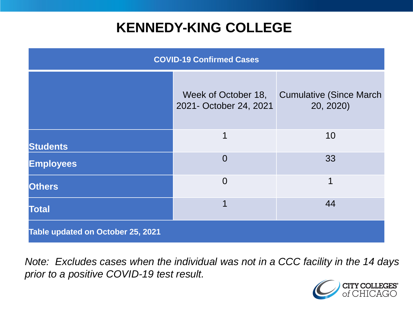### **KENNEDY-KING COLLEGE**

| <b>COVID-19 Confirmed Cases</b>   |                                               |                                              |
|-----------------------------------|-----------------------------------------------|----------------------------------------------|
|                                   | Week of October 18,<br>2021- October 24, 2021 | <b>Cumulative (Since March)</b><br>20, 2020) |
| <b>Students</b>                   | $\mathbf 1$                                   | 10                                           |
| <b>Employees</b>                  | $\overline{0}$                                | 33                                           |
| <b>Others</b>                     | $\overline{0}$                                | 1                                            |
| <b>Total</b>                      | 1                                             | 44                                           |
| Table updated on October 25, 2021 |                                               |                                              |

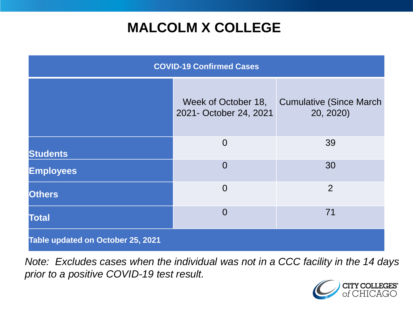# **MALCOLM X COLLEGE**

| <b>COVID-19 Confirmed Cases</b>   |                                               |                                              |
|-----------------------------------|-----------------------------------------------|----------------------------------------------|
|                                   | Week of October 18,<br>2021- October 24, 2021 | <b>Cumulative (Since March)</b><br>20, 2020) |
| <b>Students</b>                   | $\overline{0}$                                | 39                                           |
| <b>Employees</b>                  | $\overline{0}$                                | 30                                           |
| <b>Others</b>                     | $\overline{0}$                                | 2                                            |
| <b>Total</b>                      | $\overline{0}$                                | 71                                           |
| Table updated on October 25, 2021 |                                               |                                              |

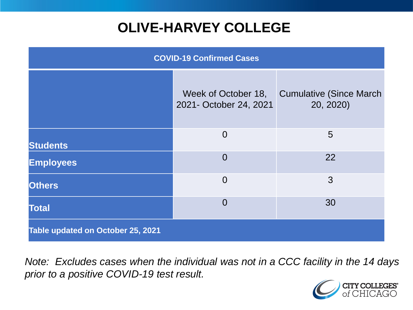# **OLIVE-HARVEY COLLEGE**

| <b>COVID-19 Confirmed Cases</b>   |                                               |                                              |
|-----------------------------------|-----------------------------------------------|----------------------------------------------|
|                                   | Week of October 18,<br>2021- October 24, 2021 | <b>Cumulative (Since March)</b><br>20, 2020) |
| <b>Students</b>                   | $\overline{0}$                                | 5                                            |
| <b>Employees</b>                  | $\overline{0}$                                | 22                                           |
| <b>Others</b>                     | $\overline{0}$                                | 3                                            |
| <b>Total</b>                      | $\overline{0}$                                | 30                                           |
| Table updated on October 25, 2021 |                                               |                                              |

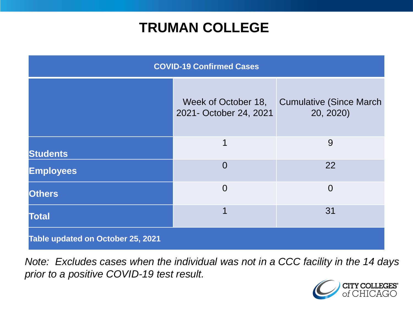### **TRUMAN COLLEGE**

| <b>COVID-19 Confirmed Cases</b>   |                                               |                                              |
|-----------------------------------|-----------------------------------------------|----------------------------------------------|
|                                   | Week of October 18,<br>2021- October 24, 2021 | <b>Cumulative (Since March)</b><br>20, 2020) |
| <b>Students</b>                   | 1                                             | 9                                            |
| <b>Employees</b>                  | $\Omega$                                      | 22                                           |
| <b>Others</b>                     | $\overline{0}$                                | $\overline{0}$                               |
| <b>Total</b>                      | 1                                             | 31                                           |
| Table updated on October 25, 2021 |                                               |                                              |

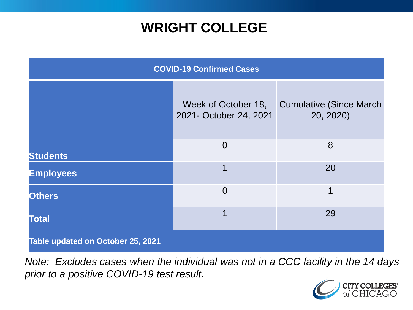### **WRIGHT COLLEGE**

| <b>COVID-19 Confirmed Cases</b>   |                                               |                                              |
|-----------------------------------|-----------------------------------------------|----------------------------------------------|
|                                   | Week of October 18,<br>2021- October 24, 2021 | <b>Cumulative (Since March)</b><br>20, 2020) |
| <b>Students</b>                   | $\overline{0}$                                | 8                                            |
| <b>Employees</b>                  | 1                                             | 20                                           |
| <b>Others</b>                     | $\overline{0}$                                | 1                                            |
| <b>Total</b>                      | 1                                             | 29                                           |
| Table updated on October 25, 2021 |                                               |                                              |